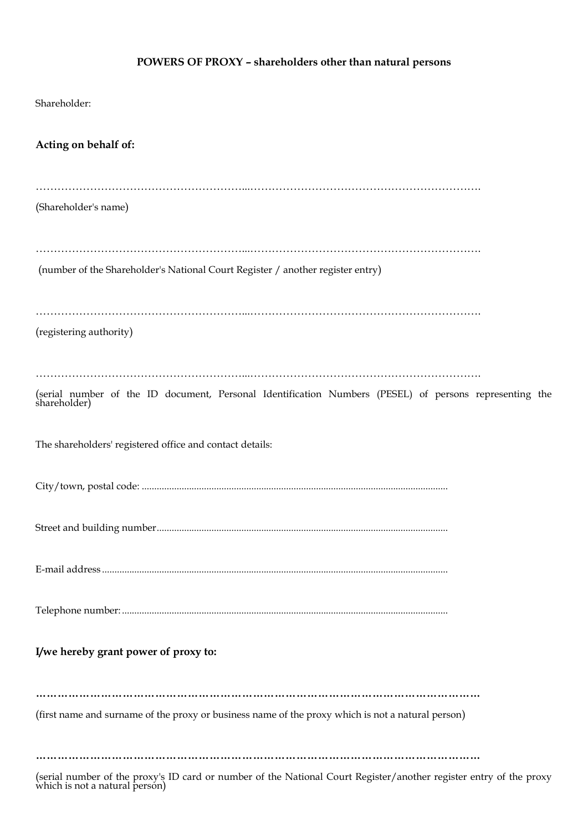## **POWERS OF PROXY – shareholders other than natural persons**

| Shareholder:                                                                                                        |
|---------------------------------------------------------------------------------------------------------------------|
| Acting on behalf of:                                                                                                |
| (Shareholder's name)                                                                                                |
| (number of the Shareholder's National Court Register / another register entry)                                      |
| (registering authority)                                                                                             |
| (serial number of the ID document, Personal Identification Numbers (PESEL) of persons representing the shareholder) |
| The shareholders' registered office and contact details:                                                            |
|                                                                                                                     |
|                                                                                                                     |
|                                                                                                                     |
|                                                                                                                     |
| I/we hereby grant power of proxy to:                                                                                |
| (first name and surname of the proxy or business name of the proxy which is not a natural person)                   |
| .                                                                                                                   |

(serial number of the proxy's ID card or number of the National Court Register/another register entry of the proxy which is not a natural person)